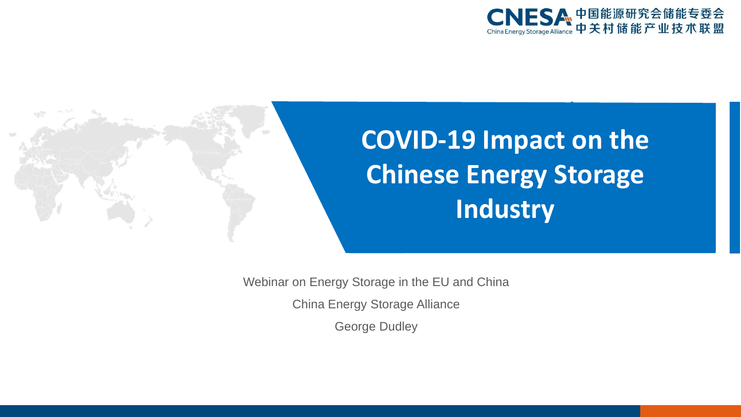



**COVID-19 Impact on the Chinese Energy Storage Industry**

Webinar on Energy Storage in the EU and China

China Energy Storage Alliance

George Dudley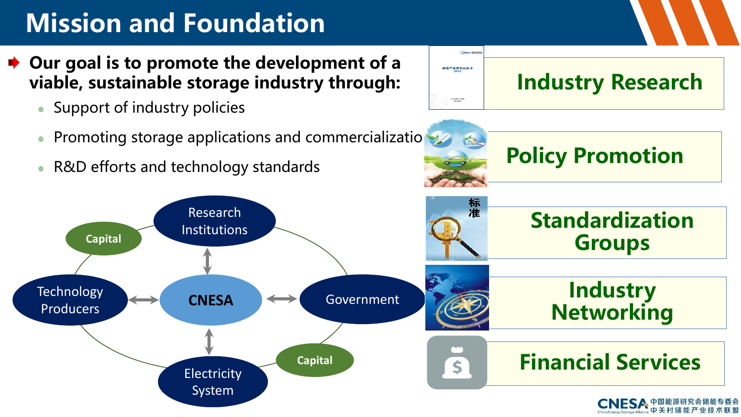# **Mission and Foundation**

- **► Our goal is to promote the development of a viable, sustainable storage industry through:**
	- Support of industry policies
	- Promoting storage applications and commercializations
	- R&D efforts and technology standards



**Policy Promotion**

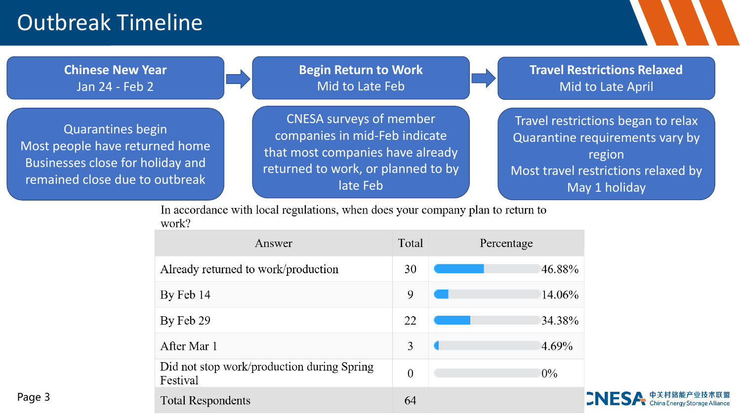# Outbreak Timeline



In accordance with local regulations, when does your company plan to return to work?

| Answer                                                 | Total          | Percentage |
|--------------------------------------------------------|----------------|------------|
| Already returned to work/production                    | 30             | 46.88%     |
| By Feb 14                                              | 9              | 14.06%     |
| By Feb 29                                              | 22             | 34.38%     |
| After Mar 1                                            | 3              | 4.69%      |
| Did not stop work/production during Spring<br>Festival | $\overline{0}$ | $0\%$      |
| <b>Total Respondents</b>                               | 64             |            |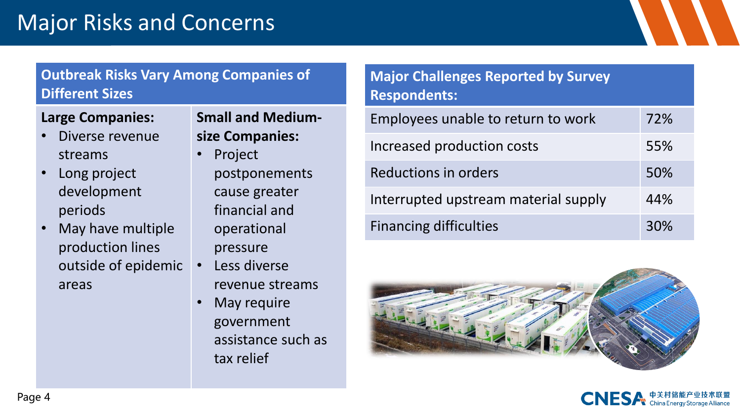# Major Risks and Concerns

### **Outbreak Risks Vary Among Companies of Different Sizes**

#### **Large Companies:**

- Diverse revenue streams
- Long project development periods
- May have multiple production lines outside of epidemic areas

**Small and Mediumsize Companies:**

- Project postponements cause greater financial and operational pressure
- Less diverse revenue streams
- May require government assistance such as tax relief

### **Major Challenges Reported by Survey Respondents:**

| Employees unable to return to work   | 72% |
|--------------------------------------|-----|
| Increased production costs           | 55% |
| Reductions in orders                 | 50% |
| Interrupted upstream material supply | 44% |
| <b>Financing difficulties</b>        | 30% |



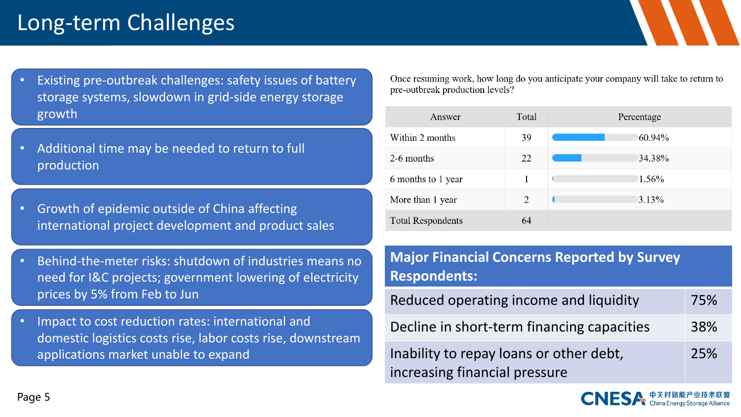# Long-term Challenges

- Existing pre-outbreak challenges: safety issues of battery storage systems, slowdown in grid-side energy storage growth
- Additional time may be needed to return to full production
- Growth of epidemic outside of China affecting international project development and product sales
- Behind-the-meter risks: shutdown of industries means no need for I&C projects; government lowering of electricity prices by 5% from Feb to Jun
- Impact to cost reduction rates: international and domestic logistics costs rise, labor costs rise, downstream applications market unable to expand

Once resuming work, how long do you anticipate your company will take to return to pre-outbreak production levels?

| Answer                   | Total | Percentage |
|--------------------------|-------|------------|
| Within 2 months          | 39    | 60.94%     |
| 2-6 months               | 22    | 34.38%     |
| 6 months to 1 year       |       | $1.56\%$   |
| More than 1 year         | 2     | 3.13%      |
| <b>Total Respondents</b> | 64    |            |

**Major Financial Concerns Reported by Survey Respondents:**

| Reduced operating income and liquidity                                   | 75% |
|--------------------------------------------------------------------------|-----|
| Decline in short-term financing capacities                               | 38% |
| Inability to repay loans or other debt,<br>increasing financial pressure | 25% |